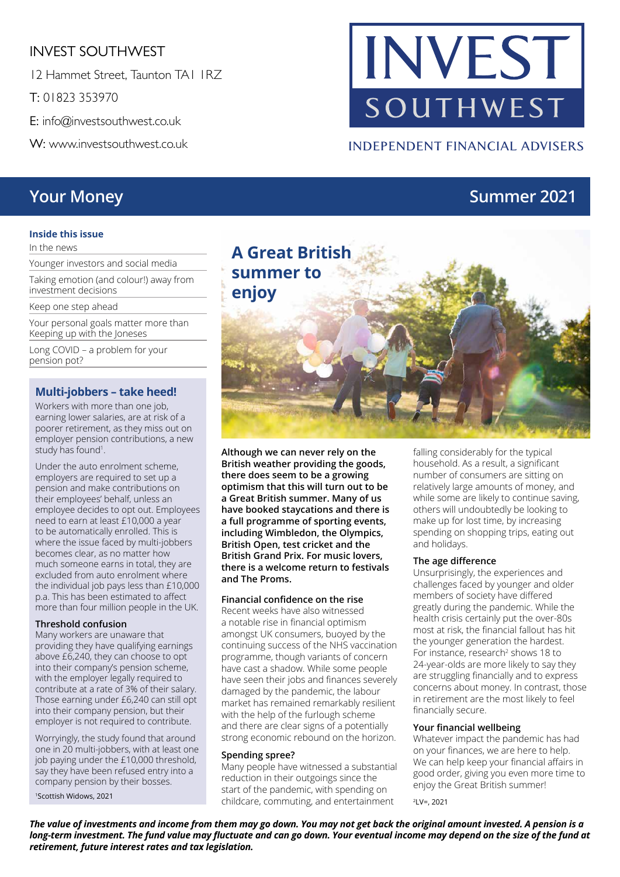#### INVEST SOUTHWEST

12 Hammet Street, Taunton TA1 1RZ

T: 01823 353970

E: info@investsouthwest.co.uk

W: www.investsouthwest.co.uk

## **Your Money <b>Summer 2021**

#### **Inside this issue**

In the news

Younger investors and social media

Taking emotion (and colour!) away from investment decisions

Keep one step ahead

Your personal goals matter more than Keeping up with the Joneses

Long COVID – a problem for your pension pot?

#### **Multi-jobbers – take heed!**

Workers with more than one job, earning lower salaries, are at risk of a poorer retirement, as they miss out on employer pension contributions, a new study has found<sup>1</sup>.

Under the auto enrolment scheme, employers are required to set up a pension and make contributions on their employees' behalf, unless an employee decides to opt out. Employees need to earn at least £10,000 a year to be automatically enrolled. This is where the issue faced by multi-jobbers becomes clear, as no matter how much someone earns in total, they are excluded from auto enrolment where the individual job pays less than £10,000 p.a. This has been estimated to affect more than four million people in the UK.

#### **Threshold confusion**

Many workers are unaware that providing they have qualifying earnings above £6,240, they can choose to opt into their company's pension scheme, with the employer legally required to contribute at a rate of 3% of their salary. Those earning under £6,240 can still opt into their company pension, but their employer is not required to contribute.

Worryingly, the study found that around one in 20 multi-jobbers, with at least one job paying under the £10,000 threshold, say they have been refused entry into a company pension by their bosses.

1Scottish Widows, 2021

# **A Great British summer to enjoy**

**Although we can never rely on the British weather providing the goods, there does seem to be a growing optimism that this will turn out to be a Great British summer. Many of us have booked staycations and there is a full programme of sporting events, including Wimbledon, the Olympics, British Open, test cricket and the British Grand Prix. For music lovers, there is a welcome return to festivals and The Proms.**

#### **Financial confidence on the rise**

Recent weeks have also witnessed a notable rise in financial optimism amongst UK consumers, buoyed by the continuing success of the NHS vaccination programme, though variants of concern have cast a shadow. While some people have seen their jobs and finances severely damaged by the pandemic, the labour market has remained remarkably resilient with the help of the furlough scheme and there are clear signs of a potentially strong economic rebound on the horizon.

#### **Spending spree?**

Many people have witnessed a substantial reduction in their outgoings since the start of the pandemic, with spending on childcare, commuting, and entertainment

falling considerably for the typical household. As a result, a significant number of consumers are sitting on relatively large amounts of money, and while some are likely to continue saving, others will undoubtedly be looking to make up for lost time, by increasing spending on shopping trips, eating out and holidays.

#### **The age difference**

Unsurprisingly, the experiences and challenges faced by younger and older members of society have differed greatly during the pandemic. While the health crisis certainly put the over-80s most at risk, the financial fallout has hit the younger generation the hardest. For instance, research<sup>2</sup> shows 18 to 24-year-olds are more likely to say they are struggling financially and to express concerns about money. In contrast, those in retirement are the most likely to feel financially secure.

#### **Your financial wellbeing**

Whatever impact the pandemic has had on your finances, we are here to help. We can help keep your financial affairs in good order, giving you even more time to enjoy the Great British summer!

2LV=, 2021

*The value of investments and income from them may go down. You may not get back the original amount invested. A pension is a long-term investment. The fund value may fluctuate and can go down. Your eventual income may depend on the size of the fund at retirement, future interest rates and tax legislation.* 

## **INVEST** SOUTHWEST

**INDEPENDENT FINANCIAL ADVISERS**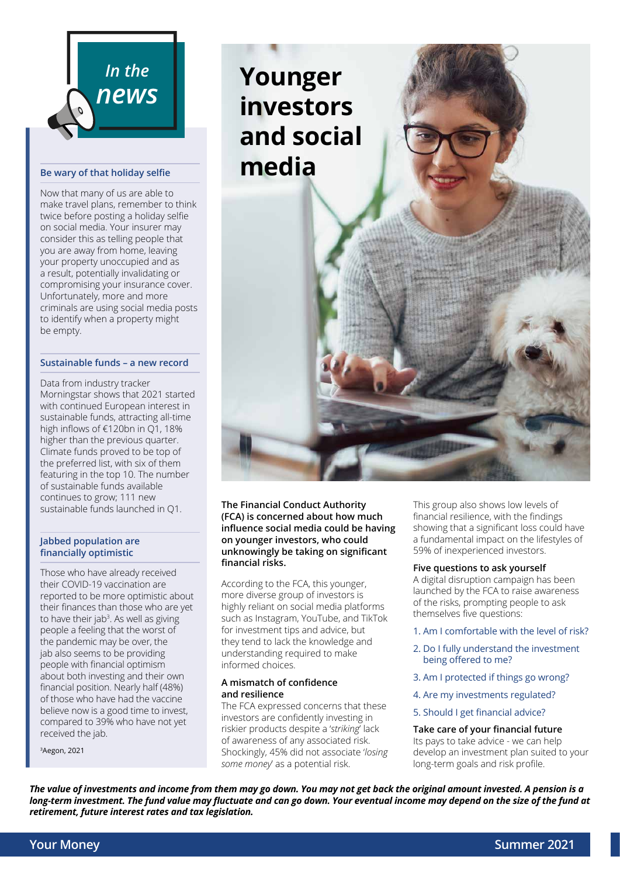

#### **Be wary of that holiday selfie**

Now that many of us are able to make travel plans, remember to think twice before posting a holiday selfie on social media. Your insurer may consider this as telling people that you are away from home, leaving your property unoccupied and as a result, potentially invalidating or compromising your insurance cover. Unfortunately, more and more criminals are using social media posts to identify when a property might be empty.

#### **Sustainable funds – a new record**

Data from industry tracker Morningstar shows that 2021 started with continued European interest in sustainable funds, attracting all-time high inflows of €120bn in Q1, 18% higher than the previous quarter. Climate funds proved to be top of the preferred list, with six of them featuring in the top 10. The number of sustainable funds available continues to grow; 111 new sustainable funds launched in Q1.

#### **Jabbed population are financially optimistic**

Those who have already received their COVID-19 vaccination are reported to be more optimistic about their finances than those who are yet to have their jab<sup>3</sup>. As well as giving people a feeling that the worst of the pandemic may be over, the jab also seems to be providing people with financial optimism about both investing and their own financial position. Nearly half (48%) of those who have had the vaccine believe now is a good time to invest, compared to 39% who have not yet received the jab.

3Aegon, 2021



#### **The Financial Conduct Authority (FCA) is concerned about how much influence social media could be having on younger investors, who could unknowingly be taking on significant financial risks.**

According to the FCA, this younger, more diverse group of investors is highly reliant on social media platforms such as Instagram, YouTube, and TikTok for investment tips and advice, but they tend to lack the knowledge and understanding required to make informed choices.

#### **A mismatch of confidence and resilience**

The FCA expressed concerns that these investors are confidently investing in riskier products despite a '*striking*' lack of awareness of any associated risk. Shockingly, 45% did not associate '*losing some money*' as a potential risk.

This group also shows low levels of financial resilience, with the findings showing that a significant loss could have a fundamental impact on the lifestyles of 59% of inexperienced investors.

#### **Five questions to ask yourself**

A digital disruption campaign has been launched by the FCA to raise awareness of the risks, prompting people to ask themselves five questions:

- 1. Am I comfortable with the level of risk?
- 2. Do I fully understand the investment being offered to me?
- 3. Am I protected if things go wrong?
- 4. Are my investments regulated?
- 5. Should I get financial advice?

#### **Take care of your financial future** Its pays to take advice - we can help develop an investment plan suited to your long-term goals and risk profile.

*The value of investments and income from them may go down. You may not get back the original amount invested. A pension is a long-term investment. The fund value may fluctuate and can go down. Your eventual income may depend on the size of the fund at retirement, future interest rates and tax legislation.*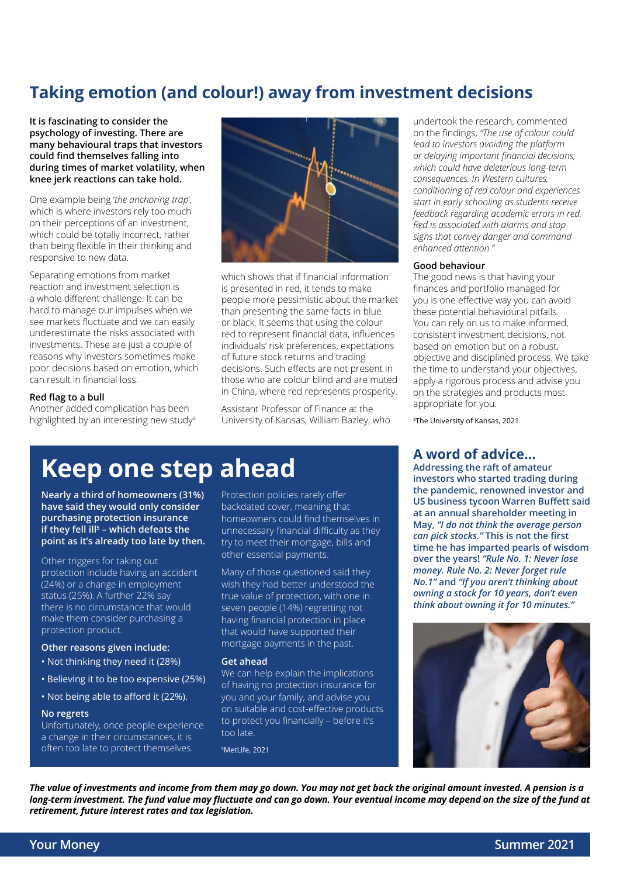## **Taking emotion (and colour!) away from investment decisions**

**It is fascinating to consider the psychology of investing. There are many behavioural traps that investors could find themselves falling into during times of market volatility, when knee jerk reactions can take hold.** 

One example being '*the anchoring trap*', which is where investors rely too much on their perceptions of an investment, which could be totally incorrect, rather than being flexible in their thinking and responsive to new data.

Separating emotions from market reaction and investment selection is a whole different challenge. It can be hard to manage our impulses when we see markets fluctuate and we can easily underestimate the risks associated with investments. These are just a couple of reasons why investors sometimes make poor decisions based on emotion, which can result in financial loss.

#### **Red flag to a bull**

Another added complication has been highlighted by an interesting new study4



which shows that if financial information is presented in red, it tends to make people more pessimistic about the market than presenting the same facts in blue or black. It seems that using the colour red to represent financial data, influences individuals' risk preferences, expectations of future stock returns and trading decisions. Such effects are not present in those who are colour blind and are muted in China, where red represents prosperity.

Assistant Professor of Finance at the University of Kansas, William Bazley, who

undertook the research, commented on the findings, *"The use of colour could lead to investors avoiding the platform or delaying important financial decisions, which could have deleterious long-term consequences. In Western cultures, conditioning of red colour and experiences start in early schooling as students receive feedback regarding academic errors in red. Red is associated with alarms and stop signs that convey danger and command enhanced attention."*

#### **Good behaviour**

The good news is that having your finances and portfolio managed for you is one effective way you can avoid these potential behavioural pitfalls. You can rely on us to make informed, consistent investment decisions, not based on emotion but on a robust, objective and disciplined process. We take the time to understand your objectives, apply a rigorous process and advise you on the strategies and products most appropriate for you.

4The University of Kansas, 2021

## **Keep one step ahead**

**Nearly a third of homeowners (31%) have said they would only consider purchasing protection insurance if they fell ill5 – which defeats the point as it's already too late by then.**

Other triggers for taking out protection include having an accident (24%) or a change in employment status (25%). A further 22% say there is no circumstance that would make them consider purchasing a protection product.

#### **Other reasons given include:**

- Not thinking they need it (28%)
- Believing it to be too expensive (25%)
- Not being able to afford it (22%).

#### **No regrets**

Unfortunately, once people experience a change in their circumstances, it is often too late to protect themselves.

Protection policies rarely offer backdated cover, meaning that homeowners could find themselves in unnecessary financial difficulty as they try to meet their mortgage, bills and other essential payments.

Many of those questioned said they wish they had better understood the true value of protection, with one in seven people (14%) regretting not having financial protection in place that would have supported their mortgage payments in the past.

#### **Get ahead**

We can help explain the implications of having no protection insurance for you and your family, and advise you on suitable and cost-effective products to protect you financially – before it's too late.

5MetLife, 2021

#### **A word of advice…**

**Addressing the raft of amateur investors who started trading during the pandemic, renowned investor and US business tycoon Warren Buffett said at an annual shareholder meeting in May,** *"I do not think the average person can pick stocks."* **This is not the first time he has imparted pearls of wisdom over the years!** *"Rule No. 1: Never lose money. Rule No. 2: Never forget rule No.1"* **and** *"If you aren't thinking about owning a stock for 10 years, don't even think about owning it for 10 minutes."*



*The value of investments and income from them may go down. You may not get back the original amount invested. A pension is a long-term investment. The fund value may fluctuate and can go down. Your eventual income may depend on the size of the fund at retirement, future interest rates and tax legislation.*